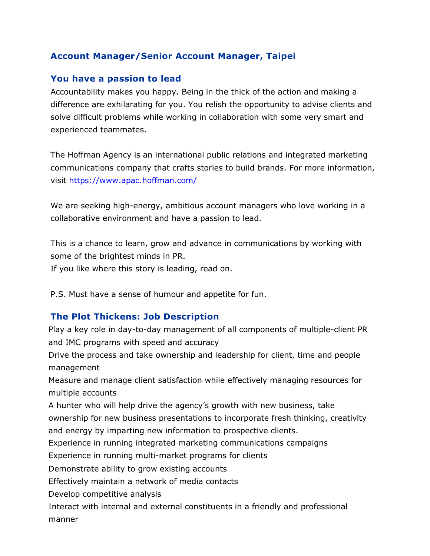# **Account Manager/Senior Account Manager, Taipei**

### **You have a passion to lead**

Accountability makes you happy. Being in the thick of the action and making a difference are exhilarating for you. You relish the opportunity to advise clients and solve difficult problems while working in collaboration with some very smart and experienced teammates.

The Hoffman Agency is an international public relations and integrated marketing communications company that crafts stories to build brands. For more information, visit<https://www.apac.hoffman.com/>

We are seeking high-energy, ambitious account managers who love working in a collaborative environment and have a passion to lead.

This is a chance to learn, grow and advance in communications by working with some of the brightest minds in PR.

If you like where this story is leading, read on.

P.S. Must have a sense of humour and appetite for fun.

# **The Plot Thickens: Job Description**

Play a key role in day-to-day management of all components of multiple-client PR and IMC programs with speed and accuracy

Drive the process and take ownership and leadership for client, time and people management

Measure and manage client satisfaction while effectively managing resources for multiple accounts

A hunter who will help drive the agency's growth with new business, take ownership for new business presentations to incorporate fresh thinking, creativity and energy by imparting new information to prospective clients.

Experience in running integrated marketing communications campaigns

Experience in running multi-market programs for clients

Demonstrate ability to grow existing accounts

Effectively maintain a network of media contacts

Develop competitive analysis

Interact with internal and external constituents in a friendly and professional manner